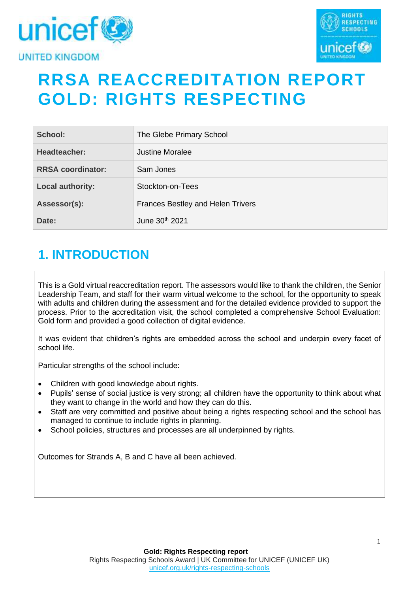



# **RRSA REACCREDITATION REPORT GOLD: RIGHTS RESPECTING**

| School:                  | The Glebe Primary School                 |
|--------------------------|------------------------------------------|
| Headteacher:             | <b>Justine Moralee</b>                   |
| <b>RRSA coordinator:</b> | Sam Jones                                |
| <b>Local authority:</b>  | Stockton-on-Tees                         |
| Assessor(s):             | <b>Frances Bestley and Helen Trivers</b> |
| Date:                    | June 30th 2021                           |

# **1. INTRODUCTION**

This is a Gold virtual reaccreditation report. The assessors would like to thank the children, the Senior Leadership Team, and staff for their warm virtual welcome to the school, for the opportunity to speak with adults and children during the assessment and for the detailed evidence provided to support the process. Prior to the accreditation visit, the school completed a comprehensive School Evaluation: Gold form and provided a good collection of digital evidence.

It was evident that children's rights are embedded across the school and underpin every facet of school life.

Particular strengths of the school include:

- Children with good knowledge about rights.
- Pupils' sense of social justice is very strong; all children have the opportunity to think about what they want to change in the world and how they can do this.
- Staff are very committed and positive about being a rights respecting school and the school has managed to continue to include rights in planning.
- School policies, structures and processes are all underpinned by rights.

Outcomes for Strands A, B and C have all been achieved.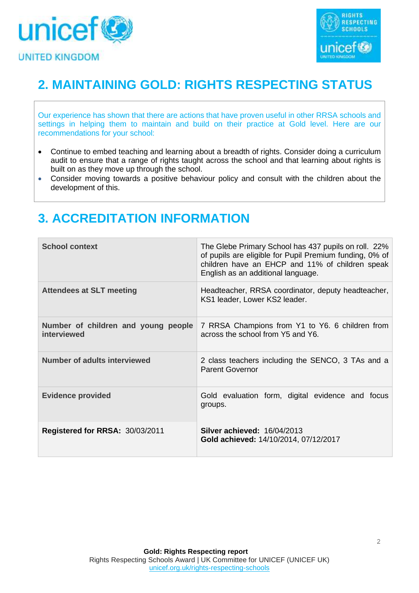



# **2. MAINTAINING GOLD: RIGHTS RESPECTING STATUS**

Our experience has shown that there are actions that have proven useful in other RRSA schools and settings in helping them to maintain and build on their practice at Gold level. Here are our recommendations for your school:

- Continue to embed teaching and learning about a breadth of rights. Consider doing a curriculum audit to ensure that a range of rights taught across the school and that learning about rights is built on as they move up through the school.
- Consider moving towards a positive behaviour policy and consult with the children about the development of this.

# **3. ACCREDITATION INFORMATION**

| <b>School context</b>                              | The Glebe Primary School has 437 pupils on roll. 22%<br>of pupils are eligible for Pupil Premium funding, 0% of<br>children have an EHCP and 11% of children speak<br>English as an additional language. |
|----------------------------------------------------|----------------------------------------------------------------------------------------------------------------------------------------------------------------------------------------------------------|
| <b>Attendees at SLT meeting</b>                    | Headteacher, RRSA coordinator, deputy headteacher,<br>KS1 leader, Lower KS2 leader.                                                                                                                      |
| Number of children and young people<br>interviewed | 7 RRSA Champions from Y1 to Y6. 6 children from<br>across the school from Y5 and Y6.                                                                                                                     |
| <b>Number of adults interviewed</b>                | 2 class teachers including the SENCO, 3 TAs and a<br><b>Parent Governor</b>                                                                                                                              |
| <b>Evidence provided</b>                           | Gold evaluation form, digital evidence and focus<br>groups.                                                                                                                                              |
| Registered for RRSA: 30/03/2011                    | <b>Silver achieved: 16/04/2013</b><br>Gold achieved: 14/10/2014, 07/12/2017                                                                                                                              |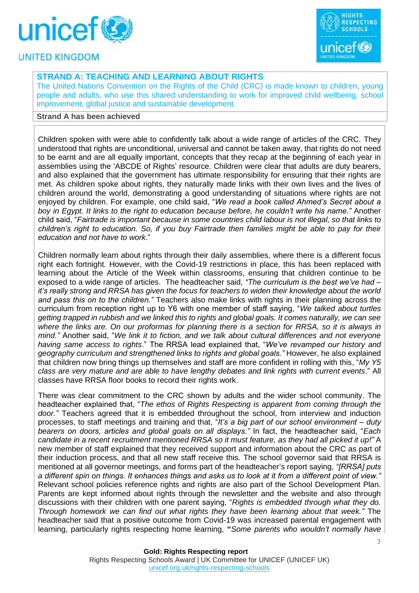



### **STRAND A: TEACHING AND LEARNING ABOUT RIGHTS**

The United Nations Convention on the Rights of the Child (CRC) is made known to children, young people and adults, who use this shared understanding to work for improved child wellbeing, school improvement, global justice and sustainable development.

#### **Strand A has been achieved**

Children spoken with were able to confidently talk about a wide range of articles of the CRC. They understood that rights are unconditional, universal and cannot be taken away, that rights do not need to be earnt and are all equally important, concepts that they recap at the beginning of each year in assemblies using the 'ABCDE of Rights' resource. Children were clear that adults are duty bearers, and also explained that the government has ultimate responsibility for ensuring that their rights are met. As children spoke about rights, they naturally made links with their own lives and the lives of children around the world, demonstrating a good understanding of situations where rights are not enjoyed by children. For example, one child said, "*We read a book called Ahmed's Secret about a boy in Egypt. It links to the right to education because before, he couldn't write his name."* Another child said, "*Fairtrade is important because in some countries child labour is not illegal, so that links to children's right to education. So, if you buy Fairtrade then families might be able to pay for their education and not have to work*."

Children normally learn about rights through their daily assemblies, where there is a different focus right each fortnight. However, with the Covid-19 restrictions in place, this has been replaced with learning about the Article of the Week within classrooms, ensuring that children continue to be exposed to a wide range of articles. The headteacher said, *"The curriculum is the best we've had – it's really strong and RRSA has given the focus for teachers to widen their knowledge about the world and pass this on to the children."* Teachers also make links with rights in their planning across the curriculum from reception right up to Y6 with one member of staff saying, "*We talked about turtles getting trapped in rubbish and we linked this to rights and global goals. It comes naturally, we can see where the links are. On our proformas for planning there is a section for RRSA, so it is always in mind."* Another said, "*We link it to fiction, and we talk about cultural differences and not everyone having same access to rights*." The RRSA lead explained that, "*We've revamped our history and geography curriculum and strengthened links to rights and global goals."* However, he also explained that children now bring things up themselves and staff are more confident in rolling with this, "*My Y5 class are very mature and are able to have lengthy debates and link rights with current events*." All classes have RRSA floor books to record their rights work.

There was clear commitment to the CRC shown by adults and the wider school community. The headteacher explained that, "*The ethos of Rights Respecting is apparent from coming through the door."* Teachers agreed that it is embedded throughout the school, from interview and induction processes, to staff meetings and training and that, "*It's a big part of our school environment – duty bearers on doors, articles and global goals on all displays."* In fact, the headteacher said, "*Each candidate in a recent recruitment mentioned RRSA so it must feature, as they had all picked it up!"* A new member of staff explained that they received support and information about the CRC as part of their induction process, and that all new staff receive this. The school governor said that RRSA is mentioned at all governor meetings, and forms part of the headteacher's report saying, *"[RRSA] puts a different spin on things. It enhances things and asks us to look at it from a different point of view."* Relevant school policies reference rights and rights are also part of the School Development Plan. Parents are kept informed about rights through the newsletter and the website and also through discussions with their children with one parent saying, "*Rights is embedded through what they do. Through homework we can find out what rights they have been learning about that week."* The headteacher said that a positive outcome from Covid-19 was increased parental engagement with learning, particularly rights respecting home learning, **"***Some parents who wouldn't normally have*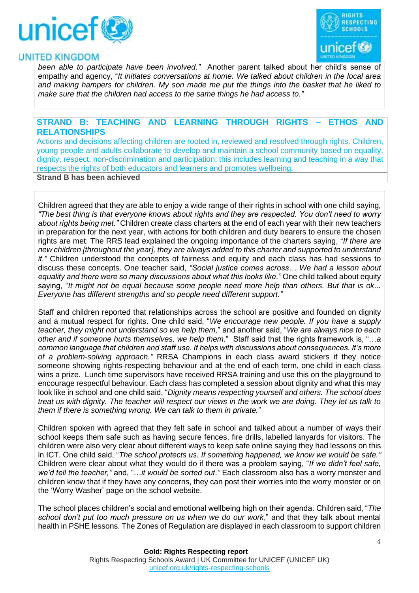



*been able to participate have been involved."* Another parent talked about her child's sense of empathy and agency, "*It initiates conversations at home. We talked about children in the local area and making hampers for children. My son made me put the things into the basket that he liked to make sure that the children had access to the same things he had access to."*

#### **STRAND B: TEACHING AND LEARNING THROUGH RIGHTS – ETHOS AND RELATIONSHIPS**

Actions and decisions affecting children are rooted in, reviewed and resolved through rights. Children, young people and adults collaborate to develop and maintain a school community based on equality, dignity, respect, non-discrimination and participation; this includes learning and teaching in a way that respects the rights of both educators and learners and promotes wellbeing. **Strand B has been achieved**

Children agreed that they are able to enjoy a wide range of their rights in school with one child saying, *"The best thing is that everyone knows about rights and they are respected. You don't need to worry about rights being met."* Children create class charters at the end of each year with their new teachers in preparation for the next year, with actions for both children and duty bearers to ensure the chosen rights are met. The RRS lead explained the ongoing importance of the charters saying, "*If there are new children [throughout the year], they are always added to this charter and supported to understand it."* Children understood the concepts of fairness and equity and each class has had sessions to discuss these concepts. One teacher said, *"Social justice comes across… We had a lesson about equality and there were so many discussions about what this looks like."* One child talked about equity saying, "*It might not be equal because some people need more help than others. But that is ok... Everyone has different strengths and so people need different support."*

Staff and children reported that relationships across the school are positive and founded on dignity and a mutual respect for rights. One child said, "*We encourage new people. If you have a supply teacher, they might not understand so we help them,*" and another said, "*We are always nice to each other and if someone hurts themselves, we help them.*" Staff said that the rights framework is, "…*a common language that children and staff use. It helps with discussions about consequences. It's more of a problem-solving approach."* RRSA Champions in each class award stickers if they notice someone showing rights-respecting behaviour and at the end of each term, one child in each class wins a prize. Lunch time supervisors have received RRSA training and use this on the playground to encourage respectful behaviour. Each class has completed a session about dignity and what this may look like in school and one child said, "*Dignity means respecting yourself and others. The school does treat us with dignity. The teacher will respect our views in the work we are doing. They let us talk to them if there is something wrong. We can talk to them in private.*"

Children spoken with agreed that they felt safe in school and talked about a number of ways their school keeps them safe such as having secure fences, fire drills, labelled lanyards for visitors. The children were also very clear about different ways to keep safe online saying they had lessons on this in ICT. One child said, "*The school protects us. If something happened, we know we would be safe."* Children were clear about what they would do if there was a problem saying, "*If we didn't feel safe, we'd tell the teacher,"* and, "…*it would be sorted out."* Each classroom also has a worry monster and children know that if they have any concerns, they can post their worries into the worry monster or on the 'Worry Washer' page on the school website.

The school places children's social and emotional wellbeing high on their agenda. Children said, "*The school don't put too much pressure on us when we do our work*," and that they talk about mental health in PSHE lessons. The Zones of Regulation are displayed in each classroom to support children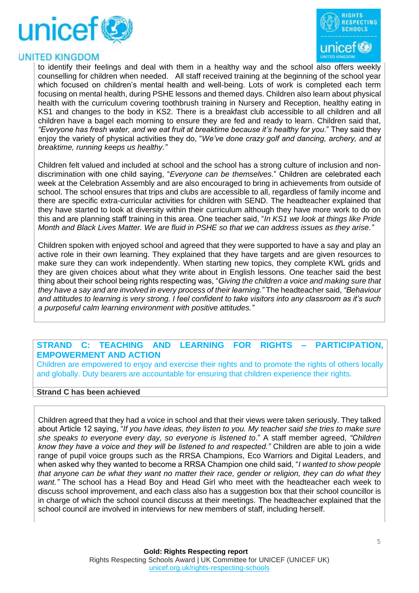



to identify their feelings and deal with them in a healthy way and the school also offers weekly counselling for children when needed. All staff received training at the beginning of the school year which focused on children's mental health and well-being. Lots of work is completed each term focusing on mental health, during PSHE lessons and themed days. Children also learn about physical health with the curriculum covering toothbrush training in Nursery and Reception, healthy eating in KS1 and changes to the body in KS2. There is a breakfast club accessible to all children and all children have a bagel each morning to ensure they are fed and ready to learn. Children said that, *"Everyone has fresh water, and we eat fruit at breaktime because it's healthy for you*." They said they enjoy the variety of physical activities they do, "*We've done crazy golf and dancing, archery, and at breaktime, running keeps us healthy."*

Children felt valued and included at school and the school has a strong culture of inclusion and nondiscrimination with one child saying, "*Everyone can be themselves*." Children are celebrated each week at the Celebration Assembly and are also encouraged to bring in achievements from outside of school. The school ensures that trips and clubs are accessible to all, regardless of family income and there are specific extra-curricular activities for children with SEND. The headteacher explained that they have started to look at diversity within their curriculum although they have more work to do on this and are planning staff training in this area. One teacher said, "*In KS1 we look at things like Pride Month and Black Lives Matter. We are fluid in PSHE so that we can address issues as they arise."* 

Children spoken with enjoyed school and agreed that they were supported to have a say and play an active role in their own learning. They explained that they have targets and are given resources to make sure they can work independently. When starting new topics, they complete KWL grids and they are given choices about what they write about in English lessons. One teacher said the best thing about their school being rights respecting was, "*Giving the children a voice and making sure that they have a say and are involved in every process of their learning."* The headteacher said, *"Behaviour and attitudes to learning is very strong. I feel confident to take visitors into any classroom as it's such a purposeful calm learning environment with positive attitudes."*

### **STRAND C: TEACHING AND LEARNING FOR RIGHTS – PARTICIPATION, EMPOWERMENT AND ACTION**

Children are empowered to enjoy and exercise their rights and to promote the rights of others locally and globally. Duty bearers are accountable for ensuring that children experience their rights.

#### **Strand C has been achieved**

Children agreed that they had a voice in school and that their views were taken seriously. They talked about Article 12 saying, "*If you have ideas, they listen to you. My teacher said she tries to make sure she speaks to everyone every day, so everyone is listened to*." A staff member agreed, *"Children know they have a voice and they will be listened to and respected."* Children are able to join a wide range of pupil voice groups such as the RRSA Champions, Eco Warriors and Digital Leaders, and when asked why they wanted to become a RRSA Champion one child said, "*I wanted to show people that anyone can be what they want no matter their race, gender or religion, they can do what they want."* The school has a Head Boy and Head Girl who meet with the headteacher each week to discuss school improvement, and each class also has a suggestion box that their school councillor is in charge of which the school council discuss at their meetings. The headteacher explained that the school council are involved in interviews for new members of staff, including herself.